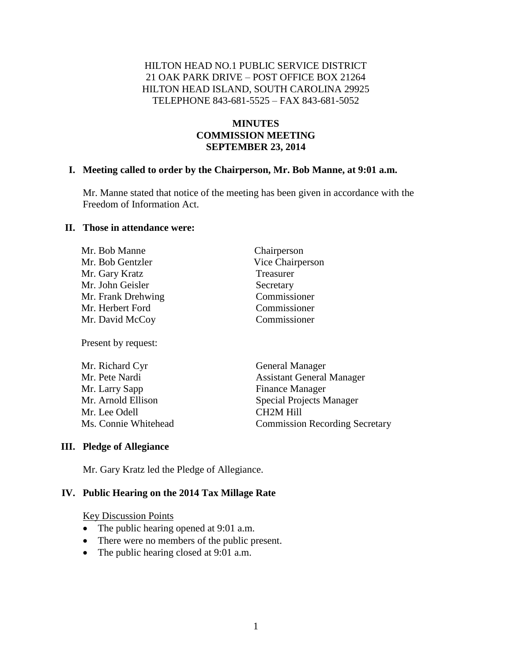## HILTON HEAD NO.1 PUBLIC SERVICE DISTRICT 21 OAK PARK DRIVE – POST OFFICE BOX 21264 HILTON HEAD ISLAND, SOUTH CAROLINA 29925 TELEPHONE 843-681-5525 – FAX 843-681-5052

# **MINUTES COMMISSION MEETING SEPTEMBER 23, 2014**

#### **I. Meeting called to order by the Chairperson, Mr. Bob Manne, at 9:01 a.m.**

Mr. Manne stated that notice of the meeting has been given in accordance with the Freedom of Information Act.

> Chairperson Vice Chairperson

**Treasurer** Secretary Commissioner Commissioner Commissioner

#### **II. Those in attendance were:**

| Mr. Bob Manne      |  |
|--------------------|--|
| Mr. Bob Gentzler   |  |
| Mr. Gary Kratz     |  |
| Mr. John Geisler   |  |
| Mr. Frank Drehwing |  |
| Mr. Herbert Ford   |  |
| Mr. David McCoy    |  |

Present by request:

| Mr. Richard Cyr      | <b>General Manager</b>                |  |
|----------------------|---------------------------------------|--|
| Mr. Pete Nardi       | <b>Assistant General Manager</b>      |  |
| Mr. Larry Sapp       | <b>Finance Manager</b>                |  |
| Mr. Arnold Ellison   | <b>Special Projects Manager</b>       |  |
| Mr. Lee Odell        | CH <sub>2</sub> M Hill                |  |
| Ms. Connie Whitehead | <b>Commission Recording Secretary</b> |  |

#### **III. Pledge of Allegiance**

Mr. Gary Kratz led the Pledge of Allegiance.

#### **IV. Public Hearing on the 2014 Tax Millage Rate**

- The public hearing opened at 9:01 a.m.
- There were no members of the public present.
- The public hearing closed at 9:01 a.m.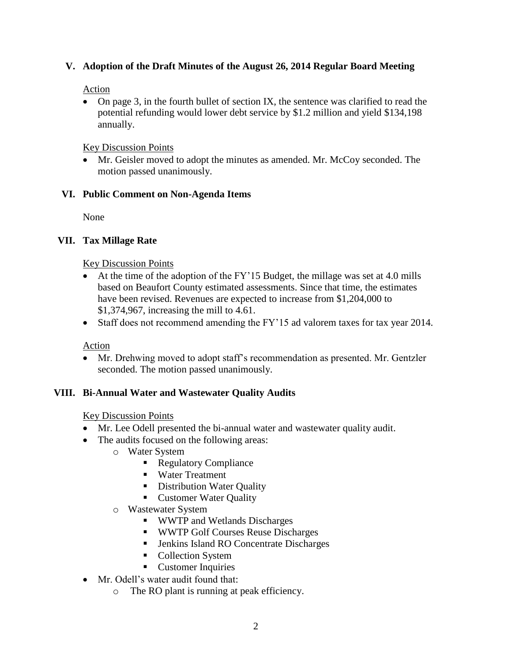## **V. Adoption of the Draft Minutes of the August 26, 2014 Regular Board Meeting**

# Action

• On page 3, in the fourth bullet of section IX, the sentence was clarified to read the potential refunding would lower debt service by \$1.2 million and yield \$134,198 annually.

# Key Discussion Points

 Mr. Geisler moved to adopt the minutes as amended. Mr. McCoy seconded. The motion passed unanimously.

# **VI. Public Comment on Non-Agenda Items**

None

# **VII. Tax Millage Rate**

Key Discussion Points

- At the time of the adoption of the FY'15 Budget, the millage was set at 4.0 mills based on Beaufort County estimated assessments. Since that time, the estimates have been revised. Revenues are expected to increase from \$1,204,000 to \$1,374,967, increasing the mill to 4.61.
- Staff does not recommend amending the FY'15 ad valorem taxes for tax year 2014.

## Action

 Mr. Drehwing moved to adopt staff's recommendation as presented. Mr. Gentzler seconded. The motion passed unanimously.

# **VIII. Bi-Annual Water and Wastewater Quality Audits**

- Mr. Lee Odell presented the bi-annual water and wastewater quality audit.
- The audits focused on the following areas:
	- o Water System
		- Regulatory Compliance
		- Water Treatment
		- **Distribution Water Quality**
		- **Customer Water Quality**
	- o Wastewater System
		- WWTP and Wetlands Discharges
		- **WWTP Golf Courses Reuse Discharges**
		- Jenkins Island RO Concentrate Discharges
		- Collection System
		- **Customer Inquiries**
- Mr. Odell's water audit found that:
	- o The RO plant is running at peak efficiency.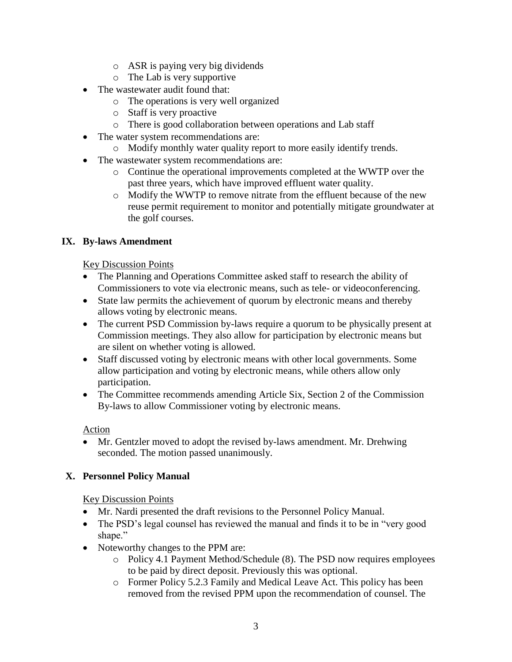- o ASR is paying very big dividends
- o The Lab is very supportive
- The wastewater audit found that:
	- o The operations is very well organized
	- o Staff is very proactive
	- o There is good collaboration between operations and Lab staff
- The water system recommendations are:
	- o Modify monthly water quality report to more easily identify trends.
- The wastewater system recommendations are:
	- o Continue the operational improvements completed at the WWTP over the past three years, which have improved effluent water quality.
	- o Modify the WWTP to remove nitrate from the effluent because of the new reuse permit requirement to monitor and potentially mitigate groundwater at the golf courses.

# **IX. By-laws Amendment**

## Key Discussion Points

- The Planning and Operations Committee asked staff to research the ability of Commissioners to vote via electronic means, such as tele- or videoconferencing.
- State law permits the achievement of quorum by electronic means and thereby allows voting by electronic means.
- The current PSD Commission by-laws require a quorum to be physically present at Commission meetings. They also allow for participation by electronic means but are silent on whether voting is allowed.
- Staff discussed voting by electronic means with other local governments. Some allow participation and voting by electronic means, while others allow only participation.
- The Committee recommends amending Article Six, Section 2 of the Commission By-laws to allow Commissioner voting by electronic means.

## Action

• Mr. Gentzler moved to adopt the revised by-laws amendment. Mr. Drehwing seconded. The motion passed unanimously.

# **X. Personnel Policy Manual**

- Mr. Nardi presented the draft revisions to the Personnel Policy Manual.
- The PSD's legal counsel has reviewed the manual and finds it to be in "very good shape."
- Noteworthy changes to the PPM are:
	- o Policy 4.1 Payment Method/Schedule (8). The PSD now requires employees to be paid by direct deposit. Previously this was optional.
	- o Former Policy 5.2.3 Family and Medical Leave Act. This policy has been removed from the revised PPM upon the recommendation of counsel. The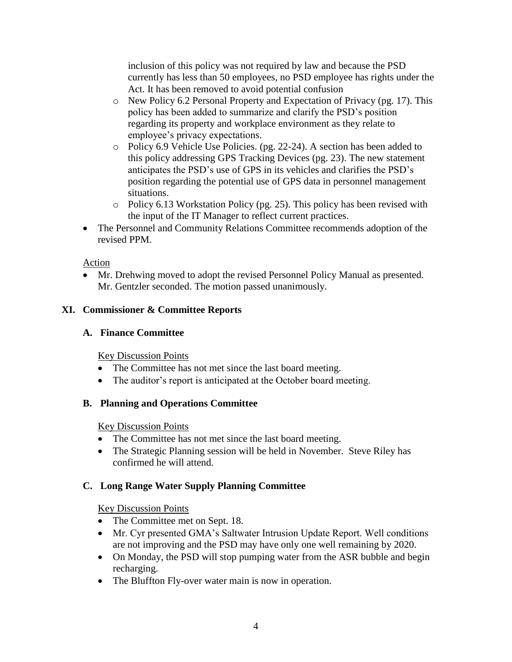inclusion of this policy was not required by law and because the PSD currently has less than 50 employees, no PSD employee has rights under the Act. It has been removed to avoid potential confusion

- o New Policy 6.2 Personal Property and Expectation of Privacy (pg. 17). This policy has been added to summarize and clarify the PSD's position regarding its property and workplace environment as they relate to employee's privacy expectations.
- o Policy 6.9 Vehicle Use Policies. (pg. 22-24). A section has been added to this policy addressing GPS Tracking Devices (pg. 23). The new statement anticipates the PSD's use of GPS in its vehicles and clarifies the PSD's position regarding the potential use of GPS data in personnel management situations.
- o Policy 6.13 Workstation Policy (pg. 25). This policy has been revised with the input of the IT Manager to reflect current practices.
- The Personnel and Community Relations Committee recommends adoption of the revised PPM.

# Action

 Mr. Drehwing moved to adopt the revised Personnel Policy Manual as presented. Mr. Gentzler seconded. The motion passed unanimously.

# **XI. Commissioner & Committee Reports**

## **A. Finance Committee**

Key Discussion Points

- The Committee has not met since the last board meeting.
- The auditor's report is anticipated at the October board meeting.

## **B. Planning and Operations Committee**

Key Discussion Points

- The Committee has not met since the last board meeting.
- The Strategic Planning session will be held in November. Steve Riley has confirmed he will attend.

# **C. Long Range Water Supply Planning Committee**

- The Committee met on Sept. 18.
- Mr. Cyr presented GMA's Saltwater Intrusion Update Report. Well conditions are not improving and the PSD may have only one well remaining by 2020.
- On Monday, the PSD will stop pumping water from the ASR bubble and begin recharging.
- The Bluffton Fly-over water main is now in operation.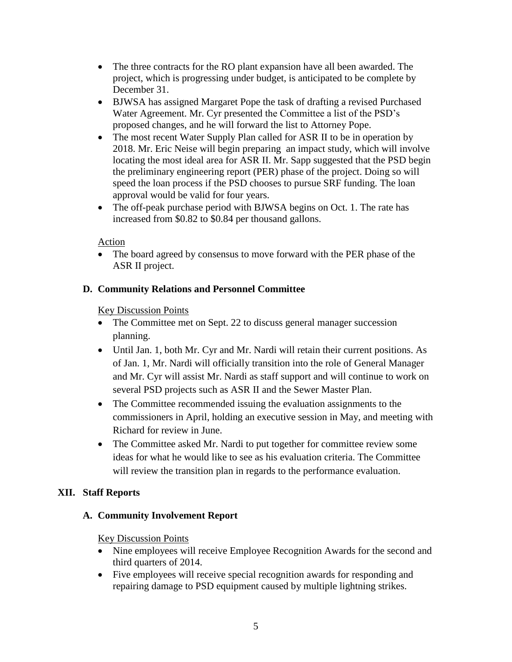- The three contracts for the RO plant expansion have all been awarded. The project, which is progressing under budget, is anticipated to be complete by December 31.
- BJWSA has assigned Margaret Pope the task of drafting a revised Purchased Water Agreement. Mr. Cyr presented the Committee a list of the PSD's proposed changes, and he will forward the list to Attorney Pope.
- The most recent Water Supply Plan called for ASR II to be in operation by 2018. Mr. Eric Neise will begin preparing an impact study, which will involve locating the most ideal area for ASR II. Mr. Sapp suggested that the PSD begin the preliminary engineering report (PER) phase of the project. Doing so will speed the loan process if the PSD chooses to pursue SRF funding. The loan approval would be valid for four years.
- The off-peak purchase period with BJWSA begins on Oct. 1. The rate has increased from \$0.82 to \$0.84 per thousand gallons.

## Action

 The board agreed by consensus to move forward with the PER phase of the ASR II project.

## **D. Community Relations and Personnel Committee**

## Key Discussion Points

- The Committee met on Sept. 22 to discuss general manager succession planning.
- Until Jan. 1, both Mr. Cyr and Mr. Nardi will retain their current positions. As of Jan. 1, Mr. Nardi will officially transition into the role of General Manager and Mr. Cyr will assist Mr. Nardi as staff support and will continue to work on several PSD projects such as ASR II and the Sewer Master Plan.
- The Committee recommended issuing the evaluation assignments to the commissioners in April, holding an executive session in May, and meeting with Richard for review in June.
- The Committee asked Mr. Nardi to put together for committee review some ideas for what he would like to see as his evaluation criteria. The Committee will review the transition plan in regards to the performance evaluation.

# **XII. Staff Reports**

## **A. Community Involvement Report**

- Nine employees will receive Employee Recognition Awards for the second and third quarters of 2014.
- Five employees will receive special recognition awards for responding and repairing damage to PSD equipment caused by multiple lightning strikes.